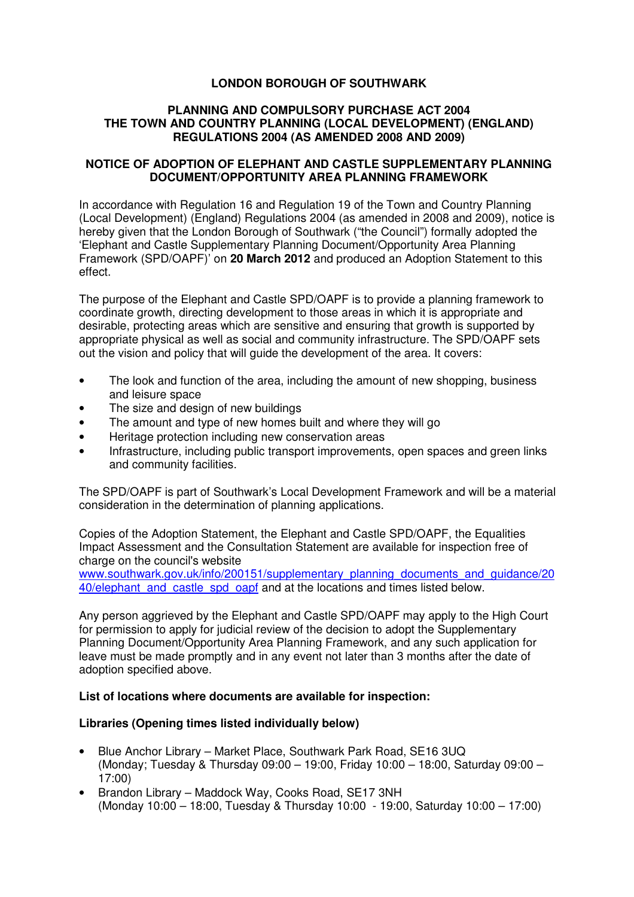### **LONDON BOROUGH OF SOUTHWARK**

#### **PLANNING AND COMPULSORY PURCHASE ACT 2004 THE TOWN AND COUNTRY PLANNING (LOCAL DEVELOPMENT) (ENGLAND) REGULATIONS 2004 (AS AMENDED 2008 AND 2009)**

#### **NOTICE OF ADOPTION OF ELEPHANT AND CASTLE SUPPLEMENTARY PLANNING DOCUMENT/OPPORTUNITY AREA PLANNING FRAMEWORK**

In accordance with Regulation 16 and Regulation 19 of the Town and Country Planning (Local Development) (England) Regulations 2004 (as amended in 2008 and 2009), notice is hereby given that the London Borough of Southwark ("the Council") formally adopted the 'Elephant and Castle Supplementary Planning Document/Opportunity Area Planning Framework (SPD/OAPF)' on **20 March 2012** and produced an Adoption Statement to this effect.

The purpose of the Elephant and Castle SPD/OAPF is to provide a planning framework to coordinate growth, directing development to those areas in which it is appropriate and desirable, protecting areas which are sensitive and ensuring that growth is supported by appropriate physical as well as social and community infrastructure. The SPD/OAPF sets out the vision and policy that will guide the development of the area. It covers:

- The look and function of the area, including the amount of new shopping, business and leisure space
- The size and design of new buildings
- The amount and type of new homes built and where they will go
- Heritage protection including new conservation areas
- Infrastructure, including public transport improvements, open spaces and green links and community facilities.

The SPD/OAPF is part of Southwark's Local Development Framework and will be a material consideration in the determination of planning applications.

Copies of the Adoption Statement, the Elephant and Castle SPD/OAPF, the Equalities Impact Assessment and the Consultation Statement are available for inspection free of charge on the council's website

www.southwark.gov.uk/info/200151/supplementary\_planning\_documents\_and\_guidance/20 40/elephant and castle spd oapf and at the locations and times listed below.

Any person aggrieved by the Elephant and Castle SPD/OAPF may apply to the High Court for permission to apply for judicial review of the decision to adopt the Supplementary Planning Document/Opportunity Area Planning Framework, and any such application for leave must be made promptly and in any event not later than 3 months after the date of adoption specified above.

#### **List of locations where documents are available for inspection:**

#### **Libraries (Opening times listed individually below)**

- Blue Anchor Library Market Place, Southwark Park Road, SE16 3UQ (Monday; Tuesday & Thursday 09:00 – 19:00, Friday 10:00 – 18:00, Saturday 09:00 – 17:00)
- Brandon Library Maddock Way, Cooks Road, SE17 3NH (Monday 10:00 – 18:00, Tuesday & Thursday 10:00 - 19:00, Saturday 10:00 – 17:00)